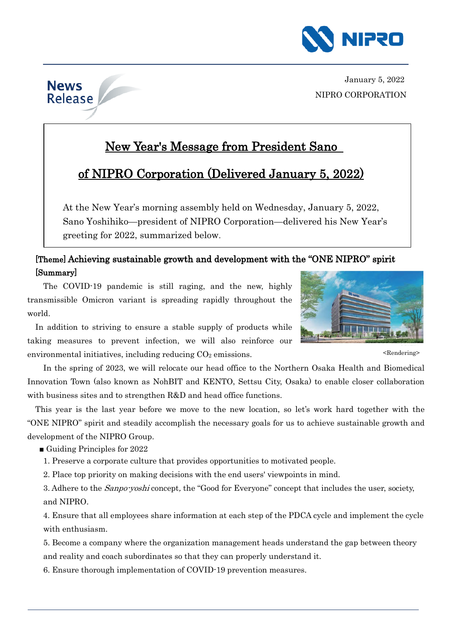

January 5, 2022 NIPRO CORPORATION

## New Year's Message from President Sano

## of NIPRO Corporation (Delivered January 5, 2022)

At the New Year's morning assembly held on Wednesday, January 5, 2022, Sano Yoshihiko—president of NIPRO Corporation—delivered his New Year's greeting for 2022, summarized below.

## [Theme] Achieving sustainable growth and development with the "ONE NIPRO" spirit [Summary]

The COVID-19 pandemic is still raging, and the new, highly transmissible Omicron variant is spreading rapidly throughout the world.

In addition to striving to ensure a stable supply of products while taking measures to prevent infection, we will also reinforce our environmental initiatives, including reducing  $CO<sub>2</sub>$  emissions.

In the spring of 2023, we will relocate our head office to the Northern Osaka Health and Biomedical Innovation Town (also known as NohBIT and KENTO, Settsu City, Osaka) to enable closer collaboration with business sites and to strengthen R&D and head office functions.

This year is the last year before we move to the new location, so let's work hard together with the "ONE NIPRO" spirit and steadily accomplish the necessary goals for us to achieve sustainable growth and development of the NIPRO Group.

■ Guiding Principles for 2022

**News** Release

1. Preserve a corporate culture that provides opportunities to motivated people.

2. Place top priority on making decisions with the end users' viewpoints in mind.

3. Adhere to the *Sanpo-yoshi* concept, the "Good for Everyone" concept that includes the user, society, and NIPRO.

4. Ensure that all employees share information at each step of the PDCA cycle and implement the cycle with enthusiasm.

5. Become a company where the organization management heads understand the gap between theory and reality and coach subordinates so that they can properly understand it.

6. Ensure thorough implementation of COVID-19 prevention measures.